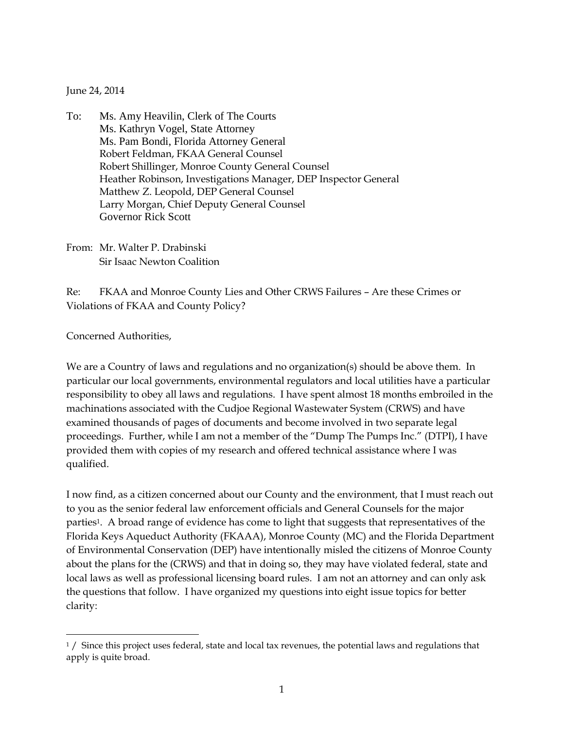June 24, 2014

- To: Ms. Amy Heavilin, Clerk of The Courts Ms. Kathryn Vogel, State Attorney Ms. Pam Bondi, Florida Attorney General Robert Feldman, FKAA General Counsel Robert Shillinger, Monroe County General Counsel Heather Robinson, Investigations Manager, DEP Inspector General Matthew Z. Leopold, DEP General Counsel Larry Morgan, Chief Deputy General Counsel Governor Rick Scott
- From: Mr. Walter P. Drabinski Sir Isaac Newton Coalition

Re: FKAA and Monroe County Lies and Other CRWS Failures – Are these Crimes or Violations of FKAA and County Policy?

Concerned Authorities,

 $\overline{a}$ 

We are a Country of laws and regulations and no organization(s) should be above them. In particular our local governments, environmental regulators and local utilities have a particular responsibility to obey all laws and regulations. I have spent almost 18 months embroiled in the machinations associated with the Cudjoe Regional Wastewater System (CRWS) and have examined thousands of pages of documents and become involved in two separate legal proceedings. Further, while I am not a member of the "Dump The Pumps Inc." (DTPI), I have provided them with copies of my research and offered technical assistance where I was qualified.

I now find, as a citizen concerned about our County and the environment, that I must reach out to you as the senior federal law enforcement officials and General Counsels for the major parties<sup>1</sup>. A broad range of evidence has come to light that suggests that representatives of the Florida Keys Aqueduct Authority (FKAAA), Monroe County (MC) and the Florida Department of Environmental Conservation (DEP) have intentionally misled the citizens of Monroe County about the plans for the (CRWS) and that in doing so, they may have violated federal, state and local laws as well as professional licensing board rules. I am not an attorney and can only ask the questions that follow. I have organized my questions into eight issue topics for better clarity:

 $1/$  Since this project uses federal, state and local tax revenues, the potential laws and regulations that apply is quite broad.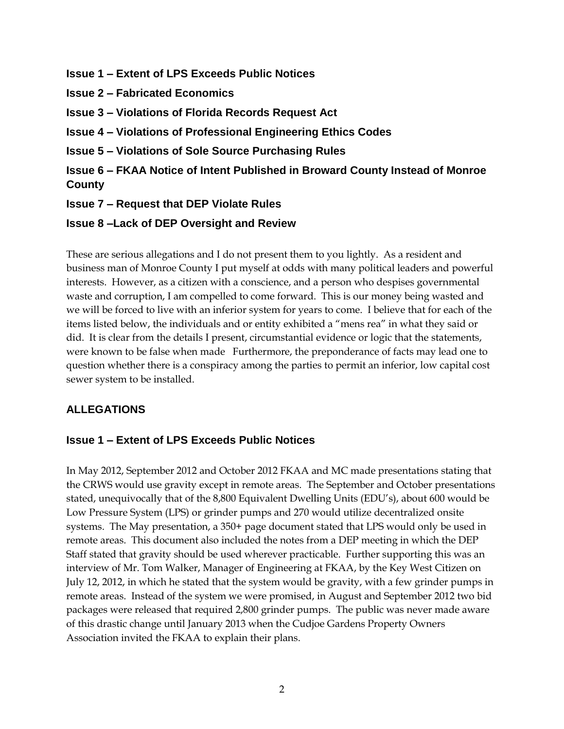- **Issue 1 – Extent of LPS Exceeds Public Notices**
- **Issue 2 – Fabricated Economics**
- **Issue 3 – Violations of Florida Records Request Act**
- **Issue 4 – Violations of Professional Engineering Ethics Codes**
- **Issue 5 – Violations of Sole Source Purchasing Rules**
- **Issue 6 – FKAA Notice of Intent Published in Broward County Instead of Monroe County**
- **Issue 7 – Request that DEP Violate Rules**
- **Issue 8 –Lack of DEP Oversight and Review**

These are serious allegations and I do not present them to you lightly. As a resident and business man of Monroe County I put myself at odds with many political leaders and powerful interests. However, as a citizen with a conscience, and a person who despises governmental waste and corruption, I am compelled to come forward. This is our money being wasted and we will be forced to live with an inferior system for years to come. I believe that for each of the items listed below, the individuals and or entity exhibited a "mens rea" in what they said or did. It is clear from the details I present, circumstantial evidence or logic that the statements, were known to be false when made Furthermore, the preponderance of facts may lead one to question whether there is a conspiracy among the parties to permit an inferior, low capital cost sewer system to be installed.

### **ALLEGATIONS**

### **Issue 1 – Extent of LPS Exceeds Public Notices**

In May 2012, September 2012 and October 2012 FKAA and MC made presentations stating that the CRWS would use gravity except in remote areas. The September and October presentations stated, unequivocally that of the 8,800 Equivalent Dwelling Units (EDU's), about 600 would be Low Pressure System (LPS) or grinder pumps and 270 would utilize decentralized onsite systems. The May presentation, a 350+ page document stated that LPS would only be used in remote areas. This document also included the notes from a DEP meeting in which the DEP Staff stated that gravity should be used wherever practicable. Further supporting this was an interview of Mr. Tom Walker, Manager of Engineering at FKAA, by the Key West Citizen on July 12, 2012, in which he stated that the system would be gravity, with a few grinder pumps in remote areas. Instead of the system we were promised, in August and September 2012 two bid packages were released that required 2,800 grinder pumps. The public was never made aware of this drastic change until January 2013 when the Cudjoe Gardens Property Owners Association invited the FKAA to explain their plans.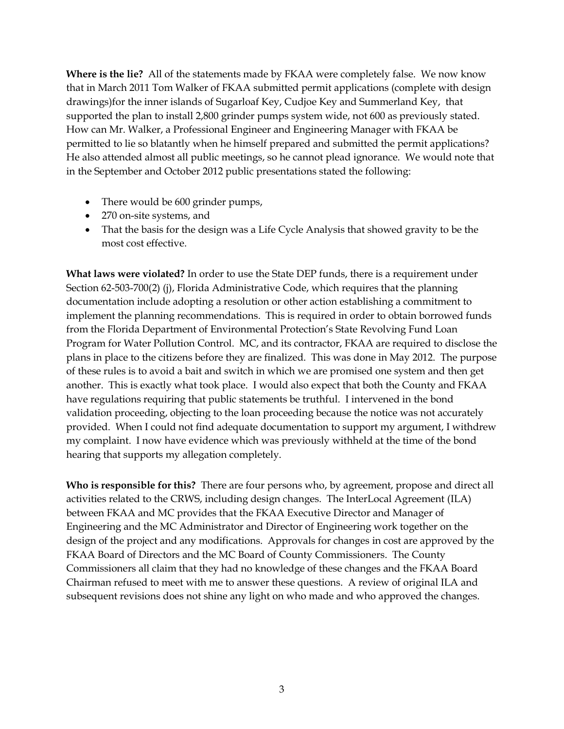**Where is the lie?** All of the statements made by FKAA were completely false. We now know that in March 2011 Tom Walker of FKAA submitted permit applications (complete with design drawings)for the inner islands of Sugarloaf Key, Cudjoe Key and Summerland Key, that supported the plan to install 2,800 grinder pumps system wide, not 600 as previously stated. How can Mr. Walker, a Professional Engineer and Engineering Manager with FKAA be permitted to lie so blatantly when he himself prepared and submitted the permit applications? He also attended almost all public meetings, so he cannot plead ignorance. We would note that in the September and October 2012 public presentations stated the following:

- There would be 600 grinder pumps,
- 270 on-site systems, and
- That the basis for the design was a Life Cycle Analysis that showed gravity to be the most cost effective.

**What laws were violated?** In order to use the State DEP funds, there is a requirement under Section 62-503-700(2) (j), Florida Administrative Code, which requires that the planning documentation include adopting a resolution or other action establishing a commitment to implement the planning recommendations. This is required in order to obtain borrowed funds from the Florida Department of Environmental Protection's State Revolving Fund Loan Program for Water Pollution Control. MC, and its contractor, FKAA are required to disclose the plans in place to the citizens before they are finalized. This was done in May 2012. The purpose of these rules is to avoid a bait and switch in which we are promised one system and then get another. This is exactly what took place. I would also expect that both the County and FKAA have regulations requiring that public statements be truthful. I intervened in the bond validation proceeding, objecting to the loan proceeding because the notice was not accurately provided. When I could not find adequate documentation to support my argument, I withdrew my complaint. I now have evidence which was previously withheld at the time of the bond hearing that supports my allegation completely.

**Who is responsible for this?** There are four persons who, by agreement, propose and direct all activities related to the CRWS, including design changes. The InterLocal Agreement (ILA) between FKAA and MC provides that the FKAA Executive Director and Manager of Engineering and the MC Administrator and Director of Engineering work together on the design of the project and any modifications. Approvals for changes in cost are approved by the FKAA Board of Directors and the MC Board of County Commissioners. The County Commissioners all claim that they had no knowledge of these changes and the FKAA Board Chairman refused to meet with me to answer these questions. A review of original ILA and subsequent revisions does not shine any light on who made and who approved the changes.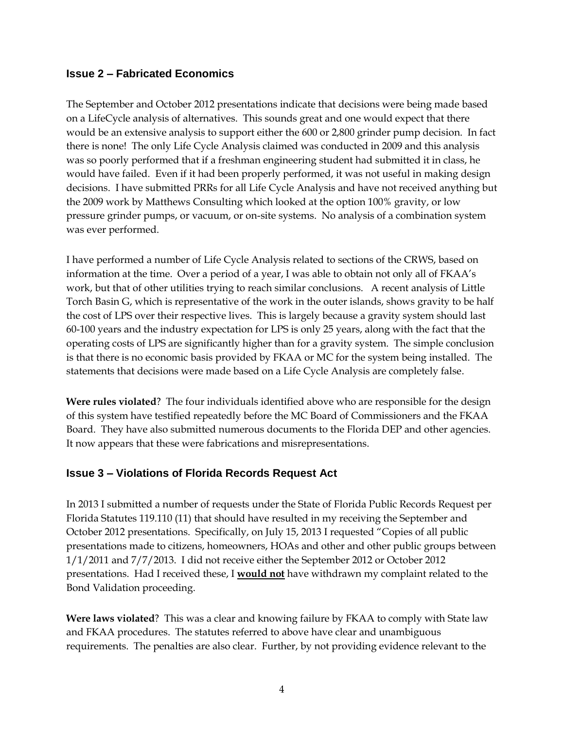#### **Issue 2 – Fabricated Economics**

The September and October 2012 presentations indicate that decisions were being made based on a LifeCycle analysis of alternatives. This sounds great and one would expect that there would be an extensive analysis to support either the 600 or 2,800 grinder pump decision. In fact there is none! The only Life Cycle Analysis claimed was conducted in 2009 and this analysis was so poorly performed that if a freshman engineering student had submitted it in class, he would have failed. Even if it had been properly performed, it was not useful in making design decisions. I have submitted PRRs for all Life Cycle Analysis and have not received anything but the 2009 work by Matthews Consulting which looked at the option 100% gravity, or low pressure grinder pumps, or vacuum, or on-site systems. No analysis of a combination system was ever performed.

I have performed a number of Life Cycle Analysis related to sections of the CRWS, based on information at the time. Over a period of a year, I was able to obtain not only all of FKAA's work, but that of other utilities trying to reach similar conclusions. A recent analysis of Little Torch Basin G, which is representative of the work in the outer islands, shows gravity to be half the cost of LPS over their respective lives. This is largely because a gravity system should last 60-100 years and the industry expectation for LPS is only 25 years, along with the fact that the operating costs of LPS are significantly higher than for a gravity system. The simple conclusion is that there is no economic basis provided by FKAA or MC for the system being installed. The statements that decisions were made based on a Life Cycle Analysis are completely false.

**Were rules violated**? The four individuals identified above who are responsible for the design of this system have testified repeatedly before the MC Board of Commissioners and the FKAA Board. They have also submitted numerous documents to the Florida DEP and other agencies. It now appears that these were fabrications and misrepresentations.

### **Issue 3 – Violations of Florida Records Request Act**

In 2013 I submitted a number of requests under the State of Florida Public Records Request per Florida Statutes 119.110 (11) that should have resulted in my receiving the September and October 2012 presentations. Specifically, on July 15, 2013 I requested "Copies of all public presentations made to citizens, homeowners, HOAs and other and other public groups between 1/1/2011 and 7/7/2013. I did not receive either the September 2012 or October 2012 presentations. Had I received these, I **would not** have withdrawn my complaint related to the Bond Validation proceeding.

**Were laws violated**? This was a clear and knowing failure by FKAA to comply with State law and FKAA procedures. The statutes referred to above have clear and unambiguous requirements. The penalties are also clear. Further, by not providing evidence relevant to the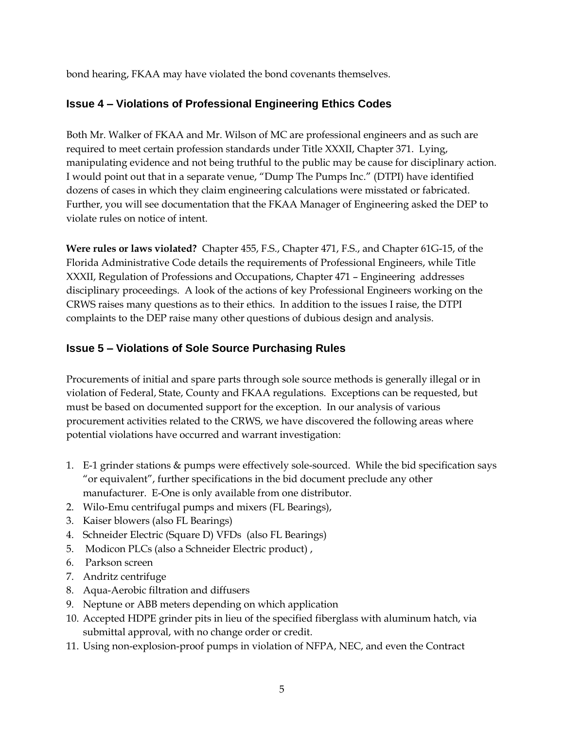bond hearing, FKAA may have violated the bond covenants themselves.

## **Issue 4 – Violations of Professional Engineering Ethics Codes**

Both Mr. Walker of FKAA and Mr. Wilson of MC are professional engineers and as such are required to meet certain profession standards under Title XXXII, Chapter 371. Lying, manipulating evidence and not being truthful to the public may be cause for disciplinary action. I would point out that in a separate venue, "Dump The Pumps Inc." (DTPI) have identified dozens of cases in which they claim engineering calculations were misstated or fabricated. Further, you will see documentation that the FKAA Manager of Engineering asked the DEP to violate rules on notice of intent.

**Were rules or laws violated?** Chapter 455, F.S., Chapter 471, F.S., and Chapter 61G-15, of the Florida Administrative Code details the requirements of Professional Engineers, while [Title](http://www.leg.state.fl.us/Statutes/index.cfm?App_mode=Display_Index&Title_Request=XXXII#TitleXXXII)  [XXXII,](http://www.leg.state.fl.us/Statutes/index.cfm?App_mode=Display_Index&Title_Request=XXXII#TitleXXXII) Regulation of Professions and Occupations, [Chapter 471](http://www.leg.state.fl.us/Statutes/index.cfm?App_mode=Display_Statute&URL=0400-0499/0471/0471ContentsIndex.html) – Engineering addresses disciplinary proceedings. A look of the actions of key Professional Engineers working on the CRWS raises many questions as to their ethics. In addition to the issues I raise, the DTPI complaints to the DEP raise many other questions of dubious design and analysis.

## **Issue 5 – Violations of Sole Source Purchasing Rules**

Procurements of initial and spare parts through sole source methods is generally illegal or in violation of Federal, State, County and FKAA regulations. Exceptions can be requested, but must be based on documented support for the exception. In our analysis of various procurement activities related to the CRWS, we have discovered the following areas where potential violations have occurred and warrant investigation:

- 1. E-1 grinder stations & pumps were effectively sole-sourced. While the bid specification says "or equivalent", further specifications in the bid document preclude any other manufacturer. E-One is only available from one distributor.
- 2. Wilo-Emu centrifugal pumps and mixers (FL Bearings),
- 3. Kaiser blowers (also FL Bearings)
- 4. Schneider Electric (Square D) VFDs (also FL Bearings)
- 5. Modicon PLCs (also a Schneider Electric product) ,
- 6. Parkson screen
- 7. Andritz centrifuge
- 8. Aqua-Aerobic filtration and diffusers
- 9. Neptune or ABB meters depending on which application
- 10. Accepted HDPE grinder pits in lieu of the specified fiberglass with aluminum hatch, via submittal approval, with no change order or credit.
- 11. Using non-explosion-proof pumps in violation of NFPA, NEC, and even the Contract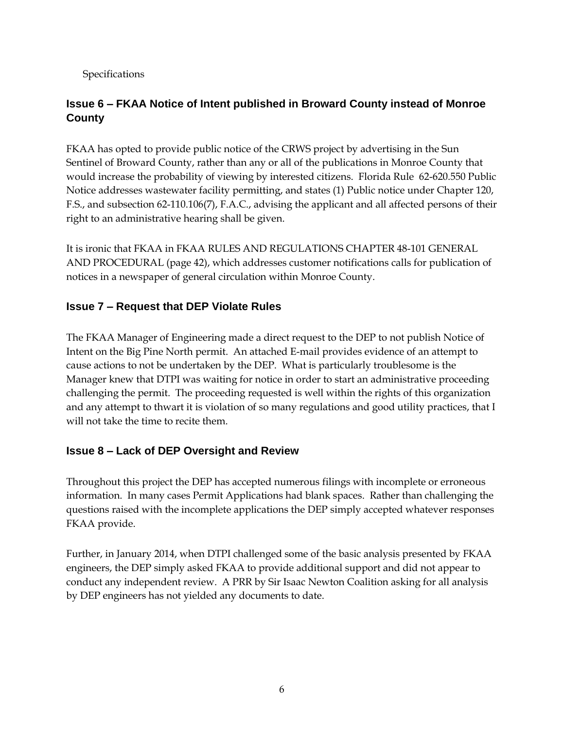Specifications

# **Issue 6 – FKAA Notice of Intent published in Broward County instead of Monroe County**

FKAA has opted to provide public notice of the CRWS project by advertising in the Sun Sentinel of Broward County, rather than any or all of the publications in Monroe County that would increase the probability of viewing by interested citizens. Florida Rule 62-620.550 Public Notice addresses wastewater facility permitting, and states (1) Public notice under Chapter 120, F.S., and subsection 62-110.106(7), F.A.C., advising the applicant and all affected persons of their right to an administrative hearing shall be given.

It is ironic that FKAA in FKAA RULES AND REGULATIONS CHAPTER 48-101 GENERAL AND PROCEDURAL (page 42), which addresses customer notifications calls for publication of notices in a newspaper of general circulation within Monroe County.

## **Issue 7 – Request that DEP Violate Rules**

The FKAA Manager of Engineering made a direct request to the DEP to not publish Notice of Intent on the Big Pine North permit. An attached E-mail provides evidence of an attempt to cause actions to not be undertaken by the DEP. What is particularly troublesome is the Manager knew that DTPI was waiting for notice in order to start an administrative proceeding challenging the permit. The proceeding requested is well within the rights of this organization and any attempt to thwart it is violation of so many regulations and good utility practices, that I will not take the time to recite them.

## **Issue 8 – Lack of DEP Oversight and Review**

Throughout this project the DEP has accepted numerous filings with incomplete or erroneous information. In many cases Permit Applications had blank spaces. Rather than challenging the questions raised with the incomplete applications the DEP simply accepted whatever responses FKAA provide.

Further, in January 2014, when DTPI challenged some of the basic analysis presented by FKAA engineers, the DEP simply asked FKAA to provide additional support and did not appear to conduct any independent review. A PRR by Sir Isaac Newton Coalition asking for all analysis by DEP engineers has not yielded any documents to date.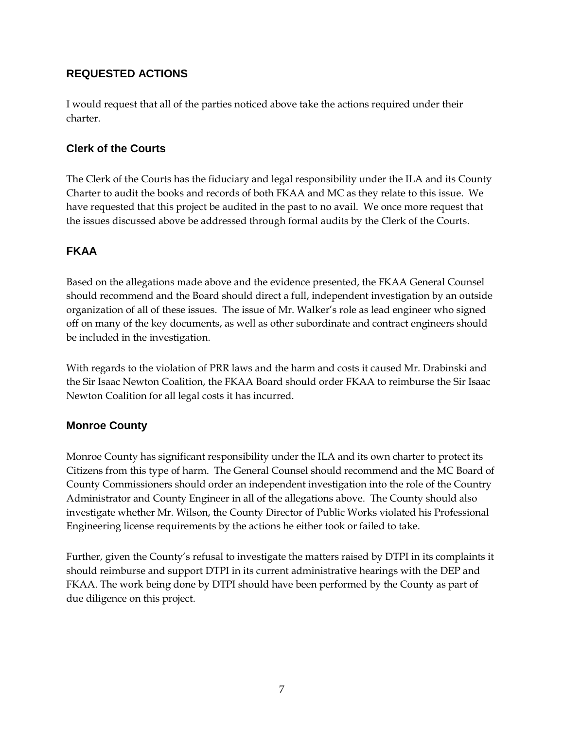## **REQUESTED ACTIONS**

I would request that all of the parties noticed above take the actions required under their charter.

#### **Clerk of the Courts**

The Clerk of the Courts has the fiduciary and legal responsibility under the ILA and its County Charter to audit the books and records of both FKAA and MC as they relate to this issue. We have requested that this project be audited in the past to no avail. We once more request that the issues discussed above be addressed through formal audits by the Clerk of the Courts.

### **FKAA**

Based on the allegations made above and the evidence presented, the FKAA General Counsel should recommend and the Board should direct a full, independent investigation by an outside organization of all of these issues. The issue of Mr. Walker's role as lead engineer who signed off on many of the key documents, as well as other subordinate and contract engineers should be included in the investigation.

With regards to the violation of PRR laws and the harm and costs it caused Mr. Drabinski and the Sir Isaac Newton Coalition, the FKAA Board should order FKAA to reimburse the Sir Isaac Newton Coalition for all legal costs it has incurred.

### **Monroe County**

Monroe County has significant responsibility under the ILA and its own charter to protect its Citizens from this type of harm. The General Counsel should recommend and the MC Board of County Commissioners should order an independent investigation into the role of the Country Administrator and County Engineer in all of the allegations above. The County should also investigate whether Mr. Wilson, the County Director of Public Works violated his Professional Engineering license requirements by the actions he either took or failed to take.

Further, given the County's refusal to investigate the matters raised by DTPI in its complaints it should reimburse and support DTPI in its current administrative hearings with the DEP and FKAA. The work being done by DTPI should have been performed by the County as part of due diligence on this project.